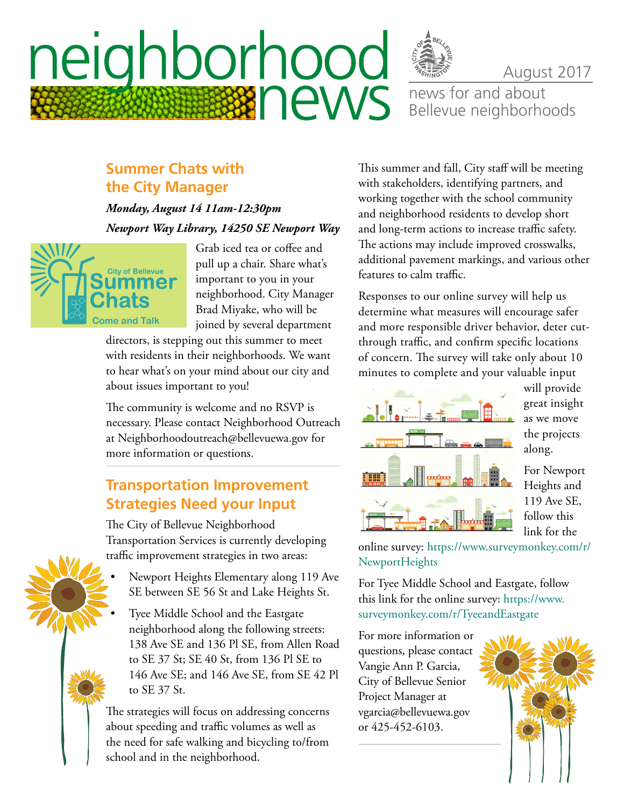

news for and about Bellevue neighborhoods August 2017

# **Summer Chats with the City Manager**

*Monday, August 14 11am-12:30pm Newport Way Library, 14250 SE Newport Way*



Grab iced tea or coffee and pull up a chair. Share what's important to you in your neighborhood. City Manager Brad Miyake, who will be joined by several department

directors, is stepping out this summer to meet with residents in their neighborhoods. We want to hear what's on your mind about our city and about issues important to you!

The community is welcome and no RSVP is necessary. Please contact Neighborhood Outreach at [Neighborhoodoutreach@bellevuewa.gov](mailto:Neighborhoodoutreach@bellevuewa.gov) for more information or questions.

## **Transportation Improvement Strategies Need your Input**

The City of Bellevue Neighborhood Transportation Services is currently developing traffic improvement strategies in two areas:

- Newport Heights Elementary along 119 Ave SE between SE 56 St and Lake Heights St.
- Tyee Middle School and the Eastgate neighborhood along the following streets: 138 Ave SE and 136 Pl SE, from Allen Road to SE 37 St; SE 40 St, from 136 Pl SE to 146 Ave SE; and 146 Ave SE, from SE 42 Pl to SE 37 St.

The strategies will focus on addressing concerns about speeding and traffic volumes as well as the need for safe walking and bicycling to/from school and in the neighborhood.

This summer and fall, City staff will be meeting with stakeholders, identifying partners, and working together with the school community and neighborhood residents to develop short and long-term actions to increase traffic safety. The actions may include improved crosswalks, additional pavement markings, and various other features to calm traffic.

Responses to our online survey will help us determine what measures will encourage safer and more responsible driver behavior, deter cutthrough traffic, and confirm specific locations of concern. The survey will take only about 10 minutes to complete and your valuable input



will provide great insight as we move the projects along.

For Newport Heights and 119 Ave SE, follow this link for the

online survey: [https://www.surveymonkey.com/r/](https://www.surveymonkey.com/r/NewportHeights) [NewportHeights](https://www.surveymonkey.com/r/NewportHeights)

For Tyee Middle School and Eastgate, follow this link for the online survey: [https://www.](https://www.surveymonkey.com/r/TyeeandEastgate) [surveymonkey.com/r/TyeeandEastgate](https://www.surveymonkey.com/r/TyeeandEastgate)

For more information or questions, please contact Vangie Ann P. Garcia, City of Bellevue Senior Project Manager at [vgarcia@bellevuewa.gov](mailto:vgarcia@bellevuewa.gov) or [425-452-6103](tel:425-452-6103).

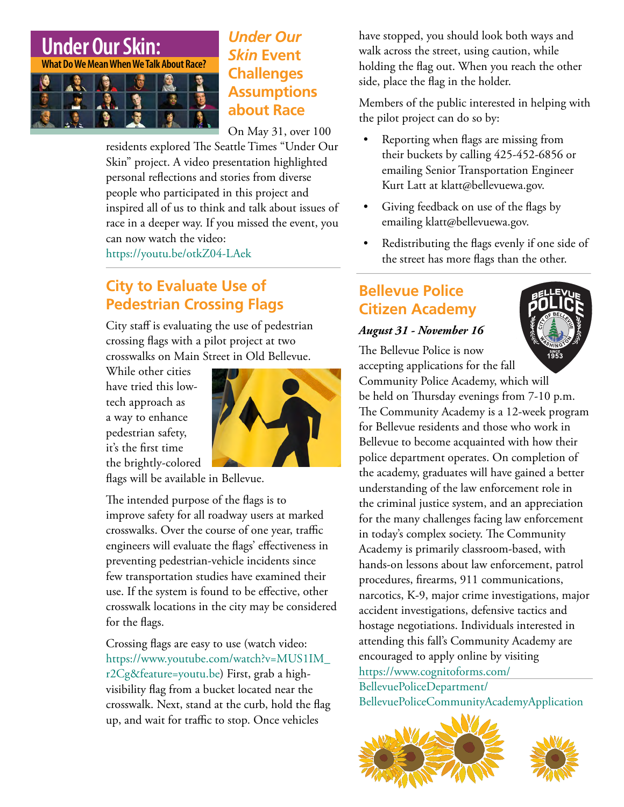# **Under Our Skin:**



# *Under Our Skin* **Event Challenges Assumptions about Race**

On May 31, over 100

residents explored The Seattle Times "Under Our Skin" project. A video presentation highlighted personal reflections and stories from diverse people who participated in this project and inspired all of us to think and talk about issues of race in a deeper way. If you missed the event, you can now watch the video: can now watch the video:<br><https://youtu.be/otkZ04-LAek> Space is limited and there is no charge to attend. **Registration required by contacting:**  $ctions$ 

# **City to Evaluate Use of Pedestrian Crossing Flags**

City staff is evaluating the use of pedestrian crossing flags with a pilot project at two crosswalks on Main Street in Old Bellevue.

While other cities have tried this lowtech approach as a way to enhance pedestrian safety, it's the first time the brightly-colored



flags will be available in Bellevue.

The intended purpose of the flags is to improve safety for all roadway users at marked crosswalks. Over the course of one year, traffic engineers will evaluate the flags' effectiveness in preventing pedestrian-vehicle incidents since few transportation studies have examined their use. If the system is found to be effective, other crosswalk locations in the city may be considered for the flags.

Crossing flags are easy to use (watch video: [https://www.youtube.com/watch?v=MUS1IM\\_](https://www.youtube.com/watch?v=MUS1IM_r2Cg&feature=youtu.be) [r2Cg&feature=youtu.be\)](https://www.youtube.com/watch?v=MUS1IM_r2Cg&feature=youtu.be) First, grab a highvisibility flag from a bucket located near the crosswalk. Next, stand at the curb, hold the flag up, and wait for traffic to stop. Once vehicles

have stopped, you should look both ways and walk across the street, using caution, while holding the flag out. When you reach the other side, place the flag in the holder.

Members of the public interested in helping with the pilot project can do so by:

- Reporting when flags are missing from their buckets by calling 425-452-6856 or emailing Senior Transportation Engineer Kurt Latt at [klatt@bellevuewa.gov.](mailto:klatt@bellevuewa.gov)
- Giving feedback on use of the flags by emailing [klatt@bellevuewa.gov](mailto:klatt@bellevuewa.gov).
- Redistributing the flags evenly if one side of the street has more flags than the other.

# **Bellevue Police Citizen Academy**

#### *August 31 - November 16*

The Bellevue Police is now accepting applications for the fall



Community Police Academy, which will be held on Thursday evenings from 7-10 p.m. The Community Academy is a 12-week program for Bellevue residents and those who work in Bellevue to become acquainted with how their police department operates. On completion of the academy, graduates will have gained a better understanding of the law enforcement role in the criminal justice system, and an appreciation for the many challenges facing law enforcement in today's complex society. The Community Academy is primarily classroom-based, with hands-on lessons about law enforcement, patrol procedures, firearms, 911 communications, narcotics, K-9, major crime investigations, major accident investigations, defensive tactics and hostage negotiations. Individuals interested in attending this fall's Community Academy are encouraged to apply online by visiting [https://www.cognitoforms.com/](https://www.cognitoforms.com/BellevuePoliceDepartment/BellevuePoliceCommunityAcademyApplication)

[BellevuePoliceDepartment/](https://www.cognitoforms.com/BellevuePoliceDepartment/BellevuePoliceCommunityAcademyApplication)

[BellevuePoliceCommunityAcademyApplication](https://www.cognitoforms.com/BellevuePoliceDepartment/BellevuePoliceCommunityAcademyApplication)



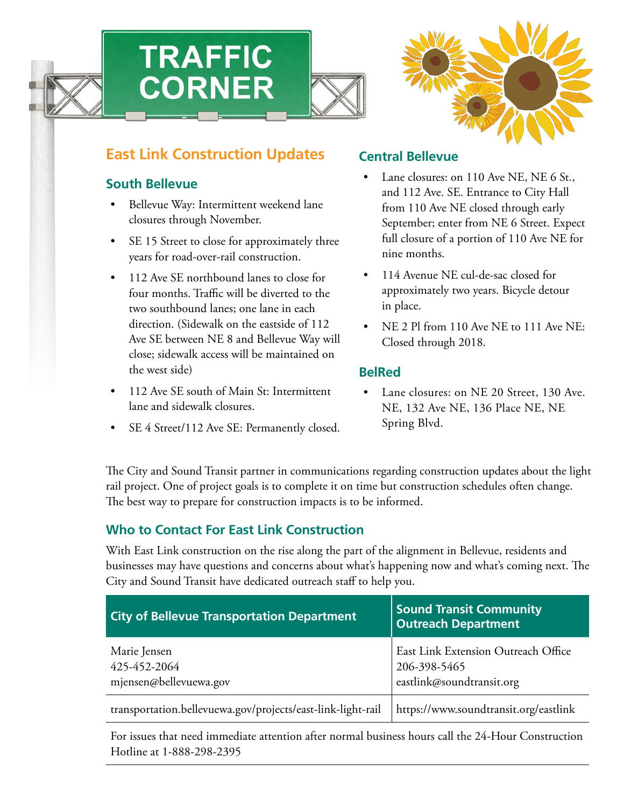





### **East Link Construction Updates**

#### **South Bellevue**

- Bellevue Way: Intermittent weekend lane closures through November.
- SE 15 Street to close for approximately three years for road-over-rail construction.
- 112 Ave SE northbound lanes to close for four months. Traffic will be diverted to the two southbound lanes; one lane in each direction. (Sidewalk on the eastside of 112 Ave SE between NE 8 and Bellevue Way will close; sidewalk access will be maintained on the west side)
- 112 Ave SE south of Main St: Intermittent lane and sidewalk closures.
- SE 4 Street/112 Ave SE: Permanently closed.

#### **Central Bellevue**

- Lane closures: on 110 Ave NE, NE 6 St., and 112 Ave. SE. Entrance to City Hall from 110 Ave NE closed through early September; enter from NE 6 Street. Expect full closure of a portion of 110 Ave NE for nine months.
- 114 Avenue NE cul-de-sac closed for approximately two years. Bicycle detour in place.
- NE 2 Pl from 110 Ave NE to 111 Ave NE: Closed through 2018.

#### **BelRed**

Lane closures: on NE 20 Street, 130 Ave. NE, 132 Ave NE, 136 Place NE, NE Spring Blvd.

The City and Sound Transit partner in communications regarding construction updates about the light rail project. One of project goals is to complete it on time but construction schedules often change. The best way to prepare for construction impacts is to be informed.

#### **Who to Contact For East Link Construction**

With East Link construction on the rise along the part of the alignment in Bellevue, residents and businesses may have questions and concerns about what's happening now and what's coming next. The City and Sound Transit have dedicated outreach staff to help you.

| <b>City of Bellevue Transportation Department</b>           | <b>Sound Transit Community</b><br><b>Outreach Department</b>                     |
|-------------------------------------------------------------|----------------------------------------------------------------------------------|
| Marie Jensen<br>425-452-2064<br>mjensen@bellevuewa.gov      | East Link Extension Outreach Office<br>206-398-5465<br>eastlink@soundtransit.org |
| transportation.bellevuewa.gov/projects/east-link-light-rail | https://www.soundtransit.org/eastlink                                            |

For issues that need immediate attention after normal business hours call the 24-Hour Construction Hotline at 1-888-298-2395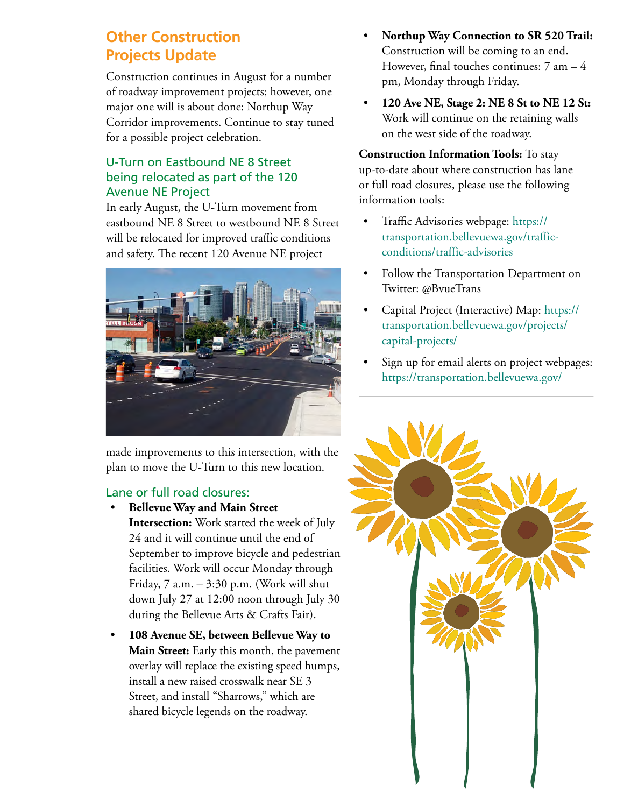## **Other Construction Projects Update**

Construction continues in August for a number of roadway improvement projects; however, one major one will is about done: Northup Way Corridor improvements. Continue to stay tuned for a possible project celebration.

#### U-Turn on Eastbound NE 8 Street being relocated as part of the 120 Avenue NE Project

In early August, the U-Turn movement from eastbound NE 8 Street to westbound NE 8 Street will be relocated for improved traffic conditions and safety. The recent 120 Avenue NE project



made improvements to this intersection, with the plan to move the U-Turn to this new location.

#### Lane or full road closures:

- **Bellevue Way and Main Street Intersection:** Work started the week of July 24 and it will continue until the end of September to improve bicycle and pedestrian facilities. Work will occur Monday through Friday,  $7$  a.m.  $-3:30$  p.m. (Work will shut down July 27 at 12:00 noon through July 30 during the Bellevue Arts & Crafts Fair).
- **108 Avenue SE, between Bellevue Way to Main Street:** Early this month, the pavement overlay will replace the existing speed humps, install a new raised crosswalk near SE 3 Street, and install "Sharrows," which are shared bicycle legends on the roadway.
- **Northup Way Connection to SR 520 Trail:** Construction will be coming to an end. However, final touches continues:  $7 \text{ am} - 4$ pm, Monday through Friday.
- **120 Ave NE, Stage 2: NE 8 St to NE 12 St:** Work will continue on the retaining walls on the west side of the roadway.

**Construction Information Tools:** To stay up-to-date about where construction has lane or full road closures, please use the following information tools:

- Traffic Advisories webpage: [https://](https://transportation.bellevuewa.gov/traffic-conditions/traffic-advisories) [transportation.bellevuewa.gov/traffic](https://transportation.bellevuewa.gov/traffic-conditions/traffic-advisories)[conditions/traffic-advisories](https://transportation.bellevuewa.gov/traffic-conditions/traffic-advisories)
- Follow the Transportation Department on Twitter: @BvueTrans
- Capital Project (Interactive) Map: [https://](https://transportation.bellevuewa.gov/projects/capital-projects/) [transportation.bellevuewa.gov/projects/](https://transportation.bellevuewa.gov/projects/capital-projects/) [capital-projects/](https://transportation.bellevuewa.gov/projects/capital-projects/)
- Sign up for email alerts on project webpages: <https://transportation.bellevuewa.gov/>

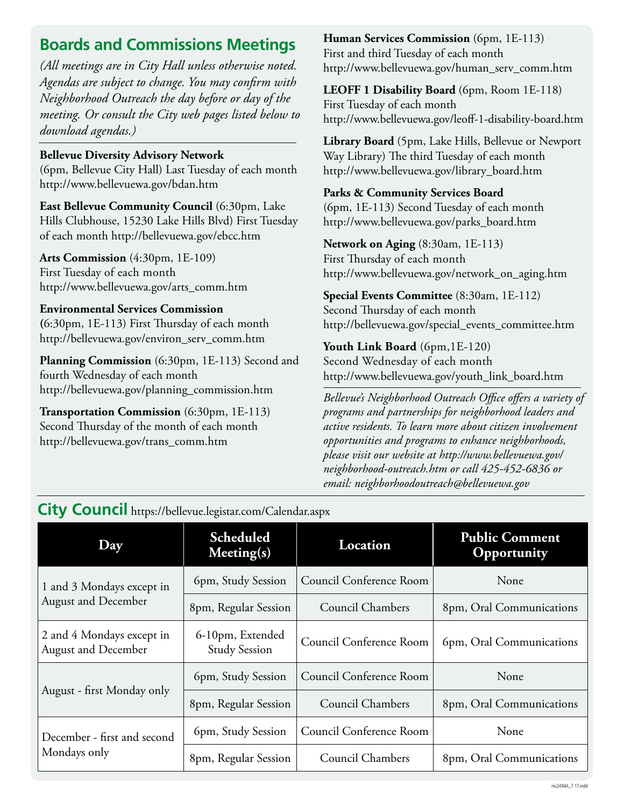# **Boards and Commissions Meetings**

*(All meetings are in City Hall unless otherwise noted. Agendas are subject to change. You may confirm with Neighborhood Outreach the day before or day of the meeting. Or consult the City web pages listed below to download agendas.)*

#### **Bellevue Diversity Advisory Network**

(6pm, Bellevue City Hall) Last Tuesday of each month <http://www.bellevuewa.gov/bdan.htm>

**East Bellevue Community Council** (6:30pm, Lake Hills Clubhouse, 15230 Lake Hills Blvd) First Tuesday of each month<http://bellevuewa.gov/ebcc.htm>

**Arts Commission** (4:30pm, 1E-109) First Tuesday of each month [http://www.bellevuewa.gov/arts\\_comm.htm](http://www.bellevuewa.gov/arts_comm.htm)

#### **Environmental Services Commission**

**(**6:30pm, 1E-113) First Thursday of each month [http://bellevuewa.gov/environ\\_serv\\_comm.htm](http://bellevuewa.gov/environ_serv_comm.htm)

**Planning Commission** (6:30pm, 1E-113) Second and fourth Wednesday of each month [http://bellevuewa.gov/planning\\_commission.htm](http://bellevuewa.gov/planning_commission.htm)

**Transportation Commission** (6:30pm, 1E-113) Second Thursday of the month of each month http://bellevuewa.gov/trans\_comm.htm

**Human Services Commission** (6pm, 1E-113) First and third Tuesday of each month [http://www.bellevuewa.gov/human\\_serv\\_comm.htm](http://www.bellevuewa.gov/human_serv_comm.htm)

**LEOFF 1 Disability Board** (6pm, Room 1E-118) First Tuesday of each month <http://www.bellevuewa.gov/leoff-1-disability-board.htm>

**Library Board** (5pm, Lake Hills, Bellevue or Newport Way Library) The third Tuesday of each month [http://www.bellevuewa.gov/library\\_board.htm](http://www.bellevuewa.gov/library_board.htm)

#### **Parks & Community Services Board**

(6pm, 1E-113) Second Tuesday of each month [http://www.bellevuewa.gov/parks\\_board.htm](http://www.bellevuewa.gov/parks_board.htm)

**Network on Aging** (8:30am, 1E-113) First Thursday of each month [http://www.bellevuewa.gov/network\\_on\\_aging.htm](http://www.bellevuewa.gov/network_on_aging.htm)

**Special Events Committee** (8:30am, 1E-112) Second Thursday of each month [http://bellevuewa.gov/special\\_events\\_committee.htm](http://bellevuewa.gov/special_events_committee.htm)

**Youth Link Board** (6pm,1E-120) Second Wednesday of each month [http://www.bellevuewa.gov/youth\\_link\\_board.htm](http://www.bellevuewa.gov/youth_link_board.htm)

*Bellevue's Neighborhood Outreach Office offers a variety of programs and partnerships for neighborhood leaders and active residents. To learn more about citizen involvement opportunities and programs to enhance neighborhoods, please visit our website at http://www.bellevuewa.gov/ neighborhood-outreach.htm or call 425-452-6836 or email: neighborhoodoutreach@bellevuewa.gov*

| Day                                                     | Scheduled<br>Mecting(s)                  | Location                | <b>Public Comment</b><br>Opportunity |
|---------------------------------------------------------|------------------------------------------|-------------------------|--------------------------------------|
| 1 and 3 Mondays except in<br><b>August and December</b> | 6pm, Study Session                       | Council Conference Room | None                                 |
|                                                         | 8pm, Regular Session                     | <b>Council Chambers</b> | 8pm, Oral Communications             |
| 2 and 4 Mondays except in<br>August and December        | 6-10pm, Extended<br><b>Study Session</b> | Council Conference Room | 6pm, Oral Communications             |
| August - first Monday only                              | 6pm, Study Session                       | Council Conference Room | None                                 |
|                                                         | 8pm, Regular Session                     | <b>Council Chambers</b> | 8pm, Oral Communications             |
| December - first and second<br>Mondays only             | 6pm, Study Session                       | Council Conference Room | None                                 |
|                                                         | 8pm, Regular Session                     | Council Chambers        | 8pm, Oral Communications             |

# **City Council** <https://bellevue.legistar.com/Calendar.aspx>